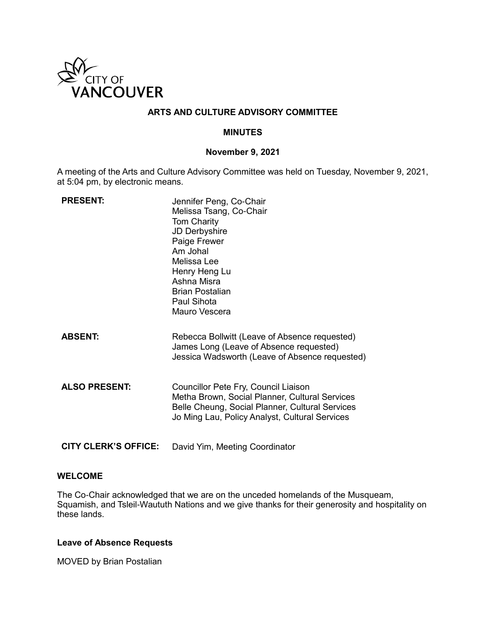

# **ARTS AND CULTURE ADVISORY COMMITTEE**

## **MINUTES**

#### **November 9, 2021**

A meeting of the Arts and Culture Advisory Committee was held on Tuesday, November 9, 2021, at 5:04 pm, by electronic means.

| <b>PRESENT:</b>             | Jennifer Peng, Co-Chair<br>Melissa Tsang, Co-Chair<br><b>Tom Charity</b><br>JD Derbyshire<br>Paige Frewer<br>Am Johal<br>Melissa Lee<br>Henry Heng Lu<br>Ashna Misra<br><b>Brian Postalian</b><br>Paul Sihota<br>Mauro Vescera |
|-----------------------------|--------------------------------------------------------------------------------------------------------------------------------------------------------------------------------------------------------------------------------|
| <b>ABSENT:</b>              | Rebecca Bollwitt (Leave of Absence requested)<br>James Long (Leave of Absence requested)<br>Jessica Wadsworth (Leave of Absence requested)                                                                                     |
| <b>ALSO PRESENT:</b>        | Councillor Pete Fry, Council Liaison<br>Metha Brown, Social Planner, Cultural Services<br>Belle Cheung, Social Planner, Cultural Services<br>Jo Ming Lau, Policy Analyst, Cultural Services                                    |
| <b>CITY CLERK'S OFFICE:</b> | David Yim, Meeting Coordinator                                                                                                                                                                                                 |

### **WELCOME**

The Co-Chair acknowledged that we are on the unceded homelands of the Musqueam, Squamish, and Tsleil-Waututh Nations and we give thanks for their generosity and hospitality on these lands.

# **Leave of Absence Requests**

MOVED by Brian Postalian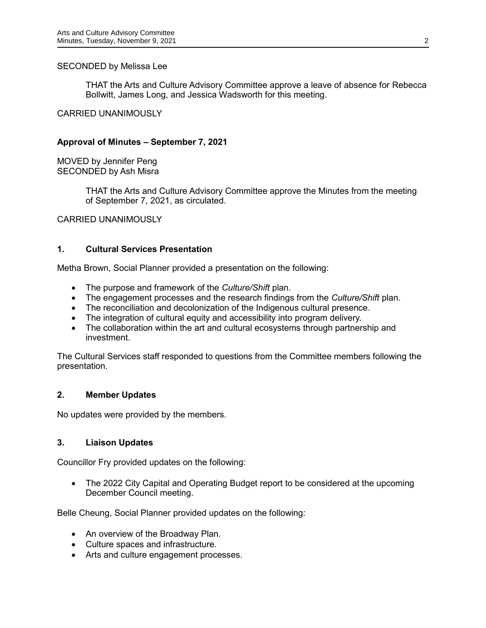### SECONDED by Melissa Lee

THAT the Arts and Culture Advisory Committee approve a leave of absence for Rebecca Bollwitt, James Long, and Jessica Wadsworth for this meeting.

### CARRIED UNANIMOUSLY

### **Approval of Minutes – September 7, 2021**

MOVED by Jennifer Peng SECONDED by Ash Misra

> THAT the Arts and Culture Advisory Committee approve the Minutes from the meeting of September 7, 2021, as circulated.

CARRIED UNANIMOUSLY

#### **1. Cultural Services Presentation**

Metha Brown, Social Planner provided a presentation on the following:

- The purpose and framework of the *Culture/Shift* plan.
- The engagement processes and the research findings from the *Culture/Shift* plan.
- The reconciliation and decolonization of the Indigenous cultural presence.
- The integration of cultural equity and accessibility into program delivery.
- The collaboration within the art and cultural ecosystems through partnership and investment.

The Cultural Services staff responded to questions from the Committee members following the presentation.

### **2. Member Updates**

No updates were provided by the members.

### **3. Liaison Updates**

Councillor Fry provided updates on the following:

• The 2022 City Capital and Operating Budget report to be considered at the upcoming December Council meeting.

Belle Cheung, Social Planner provided updates on the following:

- An overview of the Broadway Plan.
- Culture spaces and infrastructure.
- Arts and culture engagement processes.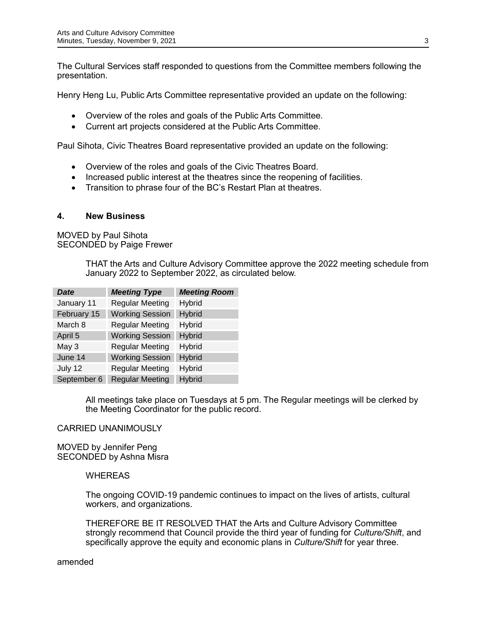The Cultural Services staff responded to questions from the Committee members following the presentation.

Henry Heng Lu, Public Arts Committee representative provided an update on the following:

- Overview of the roles and goals of the Public Arts Committee.
- Current art projects considered at the Public Arts Committee.

Paul Sihota, Civic Theatres Board representative provided an update on the following:

- Overview of the roles and goals of the Civic Theatres Board.
- Increased public interest at the theatres since the reopening of facilities.
- Transition to phrase four of the BC's Restart Plan at theatres.

#### **4. New Business**

MOVED by Paul Sihota SECONDED by Paige Frewer

> THAT the Arts and Culture Advisory Committee approve the 2022 meeting schedule from January 2022 to September 2022, as circulated below.

| <b>Date</b> | <b>Meeting Type</b>    | <b>Meeting Room</b> |
|-------------|------------------------|---------------------|
| January 11  | <b>Regular Meeting</b> | Hybrid              |
| February 15 | <b>Working Session</b> | Hybrid              |
| March 8     | <b>Regular Meeting</b> | Hybrid              |
| April 5     | <b>Working Session</b> | <b>Hybrid</b>       |
| May 3       | <b>Regular Meeting</b> | Hybrid              |
| June 14     | <b>Working Session</b> | <b>Hybrid</b>       |
| July 12     | <b>Regular Meeting</b> | Hybrid              |
| September 6 | <b>Regular Meeting</b> | <b>Hybrid</b>       |

All meetings take place on Tuesdays at 5 pm. The Regular meetings will be clerked by the Meeting Coordinator for the public record.

CARRIED UNANIMOUSLY

MOVED by Jennifer Peng SECONDED by Ashna Misra

### **WHEREAS**

The ongoing COVID-19 pandemic continues to impact on the lives of artists, cultural workers, and organizations.

THEREFORE BE IT RESOLVED THAT the Arts and Culture Advisory Committee strongly recommend that Council provide the third year of funding for *Culture/Shift*, and specifically approve the equity and economic plans in *Culture/Shift* for year three.

amended